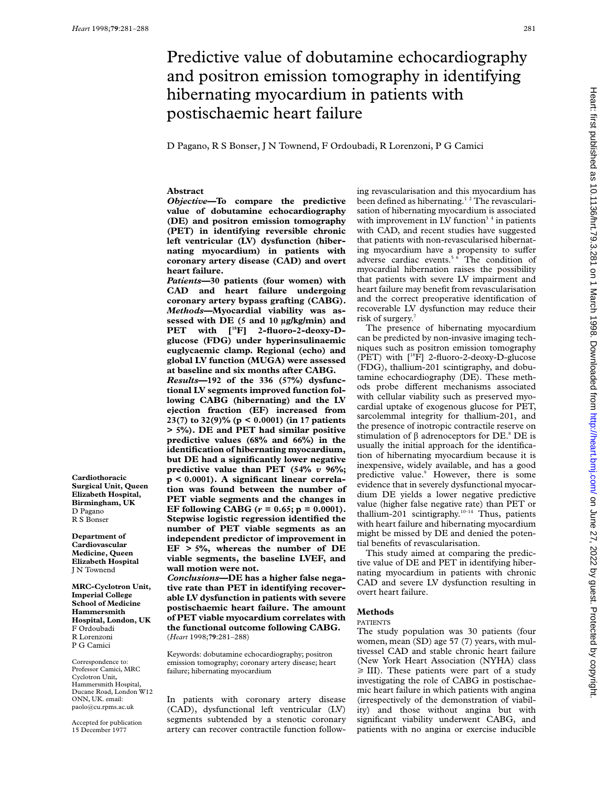# Predictive value of dobutamine echocardiography and positron emission tomography in identifying hibernating myocardium in patients with postischaemic heart failure

D Pagano, R S Bonser, J N Townend, F Ordoubadi, R Lorenzoni, P G Camici

# **Abstract**

*Objective***—To compare the predictive value of dobutamine echocardiography (DE) and positron emission tomography (PET) in identifying reversible chronic left ventricular (LV) dysfunction (hibernating myocardium) in patients with coronary artery disease (CAD) and overt heart failure.**

*Patients***—30 patients (four women) with CAD and heart failure undergoing coronary artery bypass grafting (CABG).** *Methods***—Myocardial viability was assessed with DE (5 and 10 µg/kg/min) and** PET with [<sup>18</sup>F] 2-fluoro-2-deoxy-D**glucose (FDG) under hyperinsulinaemic euglycaemic clamp. Regional (echo) and global LV function (MUGA) were assessed at baseline and six months after CABG.** *Results***—192 of the 336 (57%) dysfunctional LV segments improved function following CABG (hibernating) and the LV**

**ejection fraction (EF) increased from 23(7) to 32(9)% (p < 0.0001) (in 17 patients > 5%). DE and PET had similar positive predictive values (68% and 66%) in the identification of hibernating myocardium, but DE had a significantly lower negative predictive value than PET (54%** *v* **96%; p < 0.0001). A significant linear correlation was found between the number of PET viable segments and the changes in EF following CABG (***r* **= 0.65; p = 0.0001). Stepwise logistic regression identified the number of PET viable segments as an independent predictor of improvement in EF > 5%, whereas the number of DE viable segments, the baseline LVEF, and wall motion were not.**

*Conclusions***—DE has a higher false negative rate than PET in identifying recoverable LV dysfunction in patients with severe postischaemic heart failure. The amount of PET viable myocardium correlates with the functional outcome following CABG.** (*Heart* 1998;**79**:281–288)

Keywords: dobutamine echocardiography; positron emission tomography; coronary artery disease; heart failure; hibernating myocardium

In patients with coronary artery disease (CAD), dysfunctional left ventricular (LV) segments subtended by a stenotic coronary artery can recover contractile function following revascularisation and this myocardium has been defined as hibernating.<sup>12</sup> The revascularisation of hibernating myocardium is associated with improvement in LV function<sup>34</sup> in patients with CAD, and recent studies have suggested that patients with non-revascularised hibernating myocardium have a propensity to suffer adverse cardiac events. $5\overline{6}$  The condition of myocardial hibernation raises the possibility that patients with severe LV impairment and heart failure may benefit from revascularisation and the correct preoperative identification of recoverable LV dysfunction may reduce their risk of surgery.

The presence of hibernating myocardium can be predicted by non-invasive imaging techniques such as positron emission tomography (PET) with [18F] 2-fluoro-2-deoxy-D-glucose (FDG), thallium-201 scintigraphy, and dobutamine echocardiography (DE). These methods probe different mechanisms associated with cellular viability such as preserved myocardial uptake of exogenous glucose for PET, sarcolemmal integrity for thallium-201, and the presence of inotropic contractile reserve on stimulation of  $\beta$  adrenoceptors for DE.<sup>8</sup> DE is usually the initial approach for the identification of hibernating myocardium because it is inexpensive, widely available, and has a good predictive value.<sup>9</sup> However, there is some evidence that in severely dysfunctional myocardium DE yields a lower negative predictive value (higher false negative rate) than PET or thallium-201 scintigraphy.<sup>10–14</sup> Thus, patients with heart failure and hibernating myocardium might be missed by DE and denied the potential benefits of revascularisation.

This study aimed at comparing the predictive value of DE and PET in identifying hibernating myocardium in patients with chronic CAD and severe LV dysfunction resulting in overt heart failure.

## **Methods**

#### PATIENTS

The study population was 30 patients (four women, mean (SD) age 57 (7) years, with multivessel CAD and stable chronic heart failure (New York Heart Association (NYHA) class  $\geq$  III). These patients were part of a study investigating the role of CABG in postischaemic heart failure in which patients with angina (irrespectively of the demonstration of viability) and those without angina but with significant viability underwent CABG, and patients with no angina or exercise inducible

**Cardiothoracic Surgical Unit, Queen Elizabeth Hospital, Birmingham, UK** D Pagano R S Bonser

**Department of Cardiovascular Medicine, Queen Elizabeth Hospital** J N Townend

**MRC-Cyclotron Unit, Imperial College School of Medicine Hammersmith Hospital, London, UK** F Ordoubadi R Lorenzoni P G Camici

Correspondence to: Professor Camici, MRC Cyclotron Unit, Hammersmith Hospital, Ducane Road, London W12 ONN, UK. email: paolo@cu.rpms.ac.uk

Accepted for publication 15 December 1977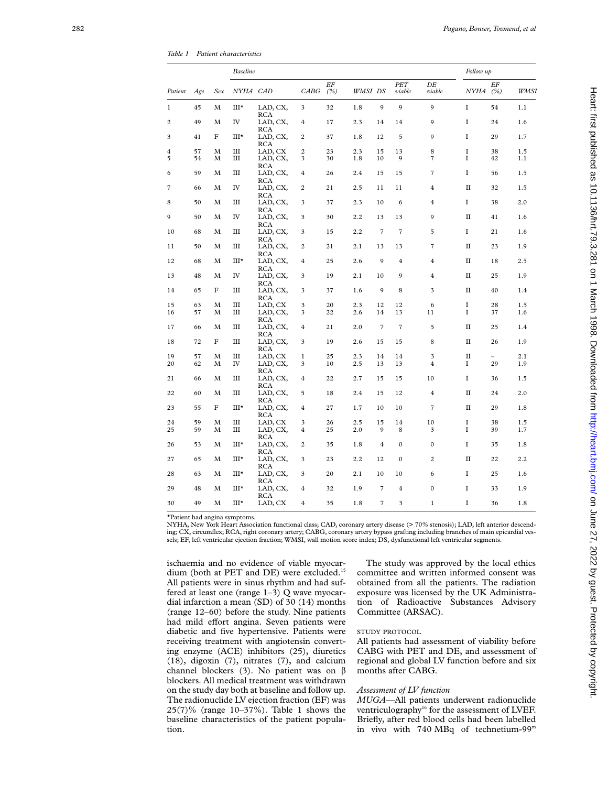*Table 1 Patient characteristics*

|                |     |     | <b>Baseline</b> |                                      |                         |           |         |                |                      |                |              | Follow up |      |  |
|----------------|-----|-----|-----------------|--------------------------------------|-------------------------|-----------|---------|----------------|----------------------|----------------|--------------|-----------|------|--|
| Patient        | Age | Sex | <i>NYHA CAD</i> |                                      | CABG                    | EF<br>(%) | WMSI DS |                | <b>PET</b><br>viable | DE<br>viable   | NYHA (%)     | ΕF        | WMSI |  |
| $\mathbf{1}$   | 45  | М   | Ш*              | LAD, CX,<br><b>RCA</b>               | 3                       | 32        | 1.8     | $\mathbf Q$    | $\mathbf Q$          | 9              | I            | 54        | 1.1  |  |
| $\overline{2}$ | 49  | M   | IV              | LAD, CX,                             | 4                       | 17        | 2.3     | 14             | 14                   | 9              | I            | 24        | 1.6  |  |
| 3              | 41  | F   | III*            | RCA<br>LAD, CX,<br><b>RCA</b>        | $\overline{\mathbf{c}}$ | 37        | 1.8     | 12             | 5                    | 9              | I            | 29        | 1.7  |  |
| 4              | 57  | М   | Ш               | LAD, CX                              | $\overline{c}$          | 23        | 2.3     | 15             | 13                   | 8              | I            | 38        | 1.5  |  |
| 5              | 54  | М   | Ш               | LAD, CX,<br>RCA                      | 3                       | 30        | 1.8     | 10             | 9                    | 7              | I            | 42        | 1.1  |  |
| 6              | 59  | М   | Ш               | LAD, CX,                             | 4                       | 26        | 2.4     | 15             | 15                   | 7              | I            | 56        | 1.5  |  |
| 7              | 66  | М   | IV              | <b>RCA</b><br>LAD, CX,<br>RCA        | 2                       | 21        | 2.5     | 11             | 11                   | 4              | П            | 32        | 1.5  |  |
| 8              | 50  | М   | Ш               | LAD, CX,                             | 3                       | 37        | 2.3     | 10             | 6                    | 4              | I            | 38        | 2.0  |  |
| 9              | 50  | М   | IV              | <b>RCA</b><br>LAD, CX,<br><b>RCA</b> | 3                       | 30        | 2.2     | 13             | 13                   | 9              | П            | 41        | 1.6  |  |
| 10             | 68  | M   | Ш               | LAD, CX,                             | 3                       | 15        | 2.2     | $\overline{7}$ | $\overline{7}$       | 5              | I            | 21        | 1.6  |  |
| 11             | 50  | М   | III             | RCA<br>LAD, CX,<br>RCA               | $\overline{c}$          | 21        | 2.1     | 13             | 13                   | $\overline{7}$ | $\mathbf{I}$ | 23        | 1.9  |  |
| 12             | 68  | М   | III*            | LAD, CX,                             | 4                       | 25        | 2.6     | 9              | $\overline{4}$       | $\overline{4}$ | П            | 18        | 2.5  |  |
| 13             | 48  | M   | IV              | <b>RCA</b><br>LAD, CX,               | 3                       | 19        | 2.1     | 10             | 9                    | 4              | $\rm II$     | 25        | 1.9  |  |
| 14             | 65  | F   | Ш               | RCA<br>LAD, CX,<br><b>RCA</b>        | 3                       | 37        | 1.6     | 9              | 8                    | 3              | П            | 40        | 1.4  |  |
| 15             | 63  | М   | Ш               | LAD, CX                              | 3                       | 20        | 2.3     | 12             | 12                   | 6              | I            | 28        | 1.5  |  |
| 16             | 57  | М   | Ш               | LAD, CX,<br>RCA                      | 3                       | 22        | 2.6     | 14             | 13                   | 11             | I            | 37        | 1.6  |  |
| 17             | 66  | М   | Ш               | LAD, CX,<br>RCA                      | 4                       | 21        | 2.0     | $\overline{7}$ | $\overline{7}$       | 5              | П            | 25        | 1.4  |  |
| 18             | 72  | F   | Ш               | LAD, CX,                             | 3                       | 19        | 2.6     | 15             | 15                   | 8              | П            | 26        | 1.9  |  |
| 19             | 57  | M   | Ш               | RCA<br>LAD, CX                       | 1                       | 25        | 2.3     | 14             | 14                   | 3              | П            |           | 2.1  |  |
| 20             | 62  | М   | IV              | LAD, CX,<br><b>RCA</b>               | 3                       | 10        | 2.5     | 13             | 13                   | $\overline{4}$ | I            | 29        | 1.9  |  |
| 21             | 66  | М   | $\rm III$       | LAD, CX,<br><b>RCA</b>               | $\overline{4}$          | 22        | 2.7     | 15             | 15                   | 10             | I            | 36        | 1.5  |  |
| 22             | 60  | М   | Ш               | LAD, CX,                             | 5                       | 18        | 2.4     | 15             | 12                   | $\overline{4}$ | П            | 24        | 2.0  |  |
| 23             | 55  | F   | Ш*              | <b>RCA</b><br>LAD, CX,<br><b>RCA</b> | 4                       | 27        | 1.7     | 10             | 10                   | 7              | $\rm II$     | 29        | 1.8  |  |
| 24             | 59  | М   | Ш               | LAD, CX                              | 3                       | 26        | 2.5     | 15             | 14                   | 10             | I            | 38        | 1.5  |  |
| 25             | 59  | М   | Ш               | LAD, CX,<br><b>RCA</b>               | $\overline{4}$          | 25        | 2.0     | 9              | 8                    | 3              | I            | 39        | 1.7  |  |
| 26             | 53  | М   | $III^{\star}$   | LAD, CX,<br>RCA                      | $\overline{2}$          | 35        | 1.8     | 4              | $\mathbf{0}$         | $\mathbf{0}$   | I            | 35        | 1.8  |  |
| 27             | 65  | М   | Ш*              | LAD, CX,<br>RCA                      | 3                       | 23        | 2.2     | 12             | $\boldsymbol{0}$     | 2              | П            | 22        | 2.2  |  |
| 28             | 63  | М   | $III^{\star}$   | LAD, CX,                             | 3                       | 20        | 2.1     | 10             | 10                   | 6              | I            | 25        | 1.6  |  |
| 29             | 48  | M   | Ш*              | RCA<br>LAD, CX,<br>RCA               | 4                       | 32        | 1.9     | $\overline{7}$ | $\overline{4}$       | $\mathbf 0$    | I            | 33        | 1.9  |  |
| 30             | 49  | М   | Ш∗              | LAD, CX                              | 4                       | 35        | 1.8     | $\overline{7}$ | 3                    | $\mathbf{1}$   | I            | 36        | 1.8  |  |

\*Patient had angina symptoms.

NYHA, New York Heart Association functional class; CAD, coronary artery disease (> 70% stenosis); LAD, left anterior descending; CX, circumflex; RCA, right coronary artery; CABG, coronary artery bypass grafting including branches of main epicardial vessels; EF, left ventricular ejection fraction; WMSI, wall motion score index; DS, dysfunctional left ventricular segments.

ischaemia and no evidence of viable myocardium (both at PET and DE) were excluded.<sup>15</sup> All patients were in sinus rhythm and had suffered at least one (range 1–3) Q wave myocardial infarction a mean (SD) of 30 (14) months (range 12–60) before the study. Nine patients had mild effort angina. Seven patients were diabetic and five hypertensive. Patients were receiving treatment with angiotensin converting enzyme (ACE) inhibitors (25), diuretics (18), digoxin (7), nitrates (7), and calcium channel blockers (3). No patient was on  $\beta$ blockers. All medical treatment was withdrawn on the study day both at baseline and follow up. The radionuclide LV ejection fraction (EF) was 25(7)% (range 10–37%). Table 1 shows the baseline characteristics of the patient population.

The study was approved by the local ethics committee and written informed consent was obtained from all the patients. The radiation exposure was licensed by the UK Administration of Radioactive Substances Advisory Committee (ARSAC).

# STUDY PROTOCOL

All patients had assessment of viability before CABG with PET and DE, and assessment of regional and global LV function before and six months after CABG.

# *Assessment of LV function*

*MUGA*—All patients underwent radionuclide ventriculography<sup>16</sup> for the assessment of LVEF. Briefly, after red blood cells had been labelled in vivo with 740 MBq of technetium-99 m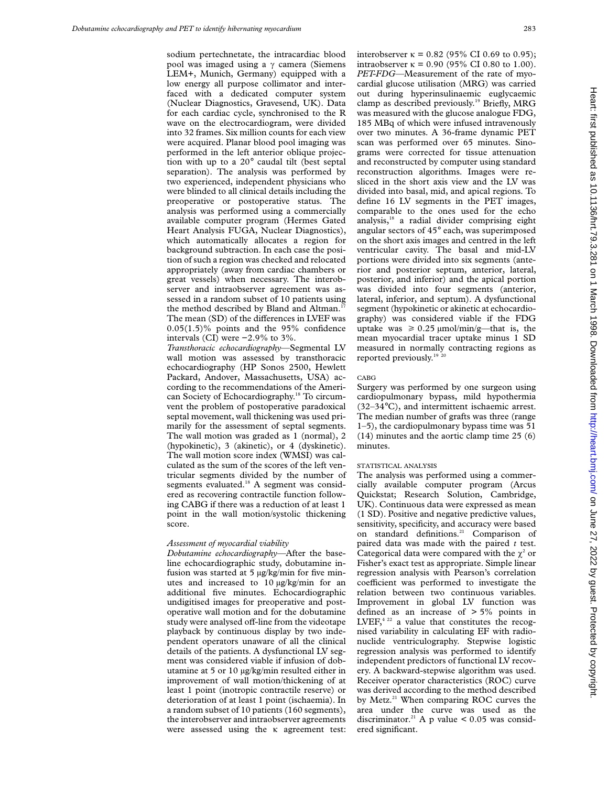sodium pertechnetate, the intracardiac blood pool was imaged using a  $\gamma$  camera (Siemens LEM+, Munich, Germany) equipped with a low energy all purpose collimator and interfaced with a dedicated computer system (Nuclear Diagnostics, Gravesend, UK). Data for each cardiac cycle, synchronised to the R wave on the electrocardiogram, were divided into 32 frames. Six million counts for each view were acquired. Planar blood pool imaging was performed in the left anterior oblique projection with up to a 20° caudal tilt (best septal separation). The analysis was performed by two experienced, independent physicians who were blinded to all clinical details including the preoperative or postoperative status. The analysis was performed using a commercially available computer program (Hermes Gated Heart Analysis FUGA, Nuclear Diagnostics), which automatically allocates a region for background subtraction. In each case the position of such a region was checked and relocated appropriately (away from cardiac chambers or great vessels) when necessary. The interobserver and intraobserver agreement was assessed in a random subset of 10 patients using the method described by Bland and Altman.<sup>1</sup> The mean (SD) of the differences in LVEF was 0.05(1.5)% points and the 95% confidence intervals (CI) were −2.9% to 3%.

*Transthoracic echocardiography*—Segmental LV wall motion was assessed by transthoracic echocardiography (HP Sonos 2500, Hewlett Packard, Andover, Massachusetts, USA) according to the recommendations of the American Society of Echocardiography.18 To circumvent the problem of postoperative paradoxical septal movement, wall thickening was used primarily for the assessment of septal segments. The wall motion was graded as 1 (normal), 2 (hypokinetic), 3 (akinetic), or 4 (dyskinetic). The wall motion score index (WMSI) was calculated as the sum of the scores of the left ventricular segments divided by the number of segments evaluated.<sup>18</sup> A segment was considered as recovering contractile function following CABG if there was a reduction of at least 1 point in the wall motion/systolic thickening score.

#### *Assessment of myocardial viability*

*Dobutamine echocardiography—*After the baseline echocardiographic study, dobutamine infusion was started at 5  $\mu$ g/kg/min for five minutes and increased to 10 µg/kg/min for an additional five minutes. Echocardiographic undigitised images for preoperative and postoperative wall motion and for the dobutamine study were analysed off-line from the videotape playback by continuous display by two independent operators unaware of all the clinical details of the patients. A dysfunctional LV segment was considered viable if infusion of dobutamine at 5 or 10 µg/kg/min resulted either in improvement of wall motion/thickening of at least 1 point (inotropic contractile reserve) or deterioration of at least 1 point (ischaemia). In a random subset of 10 patients (160 segments), the interobserver and intraobserver agreements were assessed using the  $\kappa$  agreement test:

interobserver  $\kappa = 0.82$  (95% CI 0.69 to 0.95); intraobserver  $\kappa = 0.90$  (95% CI 0.80 to 1.00). *PET-FDG—*Measurement of the rate of myocardial glucose utilisation (MRG) was carried out during hyperinsulinaemic euglycaemic clamp as described previously.<sup>19</sup> Briefly, MRG was measured with the glucose analogue FDG, 185 MBq of which were infused intravenously over two minutes. A 36-frame dynamic PET scan was performed over 65 minutes. Sinograms were corrected for tissue attenuation and reconstructed by computer using standard reconstruction algorithms. Images were resliced in the short axis view and the LV was divided into basal, mid, and apical regions. To define 16 LV segments in the PET images, comparable to the ones used for the echo analysis,18 a radial divider comprising eight angular sectors of 45° each, was superimposed on the short axis images and centred in the left ventricular cavity. The basal and mid-LV portions were divided into six segments (anterior and posterior septum, anterior, lateral, posterior, and inferior) and the apical portion was divided into four segments (anterior, lateral, inferior, and septum). A dysfunctional segment (hypokinetic or akinetic at echocardiography) was considered viable if the FDG uptake was  $\geq 0.25 \mu \text{mol/min/g}$ —that is, the mean myocardial tracer uptake minus 1 SD measured in normally contracting regions as reported previously.<sup>19</sup><sup>20</sup>

#### CABG

Surgery was performed by one surgeon using cardiopulmonary bypass, mild hypothermia (32–34°C), and intermittent ischaemic arrest. The median number of grafts was three (range 1–5), the cardiopulmonary bypass time was 51 (14) minutes and the aortic clamp time 25 (6) minutes.

#### STATISTICAL ANALYSIS

The analysis was performed using a commercially available computer program (Arcus Quickstat; Research Solution, Cambridge, UK). Continuous data were expressed as mean (1 SD). Positive and negative predictive values, sensitivity, specificity, and accuracy were based on standard definitions.<sup>21</sup> Comparison of paired data was made with the paired *t* test. Categorical data were compared with the  $\gamma^2$  or Fisher's exact test as appropriate. Simple linear regression analysis with Pearson's correlation coefficient was performed to investigate the relation between two continuous variables. Improvement in global LV function was defined as an increase of > 5% points in LVEF, $4^{22}$  a value that constitutes the recognised variability in calculating EF with radionuclide ventriculography. Stepwise logistic regression analysis was performed to identify independent predictors of functional LV recovery. A backward-stepwise algorithm was used. Receiver operator characteristics (ROC) curve was derived according to the method described by Metz.<sup>21</sup> When comparing ROC curves the area under the curve was used as the discriminator.<sup>21</sup> A p value <  $0.05$  was considered significant.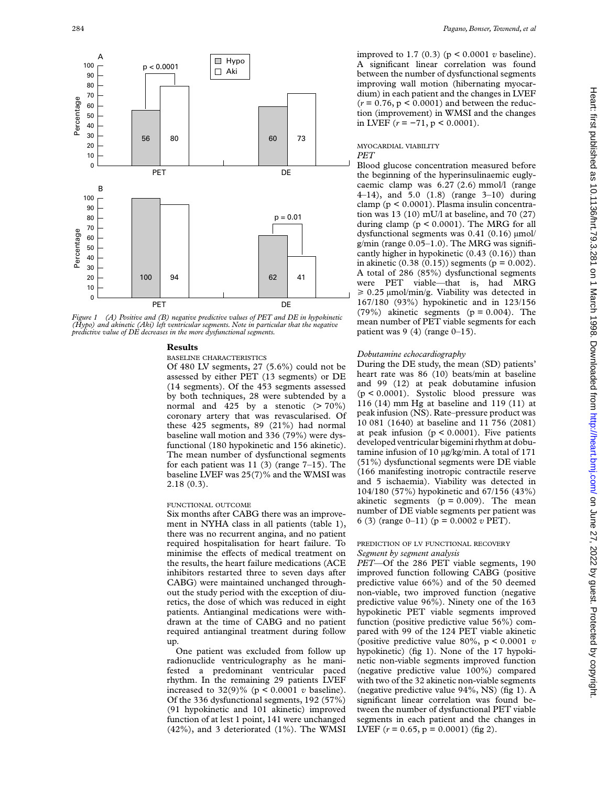

*Figure 1 (A) Positive and (B) negative predictive values of PET and DE in hypokinetic (Hypo) and akinetic (Aki) left ventricular segments. Note in particular that the negative predictive value of DE decreases in the more dysfunctional segments.*

## **Results**

#### BASELINE CHARACTERISTICS

Of 480 LV segments, 27 (5.6%) could not be assessed by either PET (13 segments) or DE (14 segments). Of the 453 segments assessed by both techniques, 28 were subtended by a normal and 425 by a stenotic  $(> 70\%)$ coronary artery that was revascularised. Of these 425 segments, 89 (21%) had normal baseline wall motion and 336 (79%) were dysfunctional (180 hypokinetic and 156 akinetic). The mean number of dysfunctional segments for each patient was  $11$  (3) (range  $7-15$ ). The baseline LVEF was 25(7)% and the WMSI was 2.18 (0.3).

#### FUNCTIONAL OUTCOME

Six months after CABG there was an improvement in NYHA class in all patients (table 1), there was no recurrent angina, and no patient required hospitalisation for heart failure. To minimise the effects of medical treatment on the results, the heart failure medications (ACE inhibitors restarted three to seven days after CABG) were maintained unchanged throughout the study period with the exception of diuretics, the dose of which was reduced in eight patients. Antianginal medications were withdrawn at the time of CABG and no patient required antianginal treatment during follow up.

One patient was excluded from follow up radionuclide ventriculography as he manifested a predominant ventricular paced rhythm. In the remaining 29 patients LVEF increased to  $32(9)\%$  ( $p < 0.0001$  *v* baseline). Of the 336 dysfunctional segments, 192 (57%) (91 hypokinetic and 101 akinetic) improved function of at lest 1 point, 141 were unchanged (42%), and 3 deteriorated (1%). The WMSI improved to 1.7 (0.3) (p < 0.0001 *v* baseline). A significant linear correlation was found between the number of dysfunctional segments improving wall motion (hibernating myocardium) in each patient and the changes in LVEF  $(r = 0.76, p < 0.0001)$  and between the reduction (improvement) in WMSI and the changes in LVEF (*r* = −71, p < 0.0001).

#### MYOCARDIAL VIABILITY *PET*

Blood glucose concentration measured before the beginning of the hyperinsulinaemic euglycaemic clamp was 6.27 (2.6) mmol/l (range 4–14), and 5.0 (1.8) (range 3–10) during clamp (p < 0.0001). Plasma insulin concentration was 13 (10) mU/l at baseline, and 70 (27) during clamp  $(p < 0.0001)$ . The MRG for all dysfunctional segments was  $0.41$   $(0.16)$   $\mu$ mol/ g/min (range  $0.05-1.0$ ). The MRG was significantly higher in hypokinetic (0.43 (0.16)) than in akinetic (0.38 (0.15)) segments ( $p = 0.002$ ). A total of 286 (85%) dysfunctional segments were PET viable—that is, had MRG  $\geq 0.25$  µmol/min/g. Viability was detected in 167/180 (93%) hypokinetic and in 123/156 (79%) akinetic segments ( $p = 0.004$ ). The mean number of PET viable segments for each patient was  $9(4)$  (range  $0-15$ ).

# *Dobutamine echocardiography*

During the DE study, the mean (SD) patients' heart rate was 86 (10) beats/min at baseline and 99 (12) at peak dobutamine infusion (p < 0.0001). Systolic blood pressure was 116 (14) mm Hg at baseline and 119 (11) at peak infusion (NS). Rate–pressure product was 10 081 (1640) at baseline and 11 756 (2081) at peak infusion ( $p < 0.0001$ ). Five patients developed ventricular bigemini rhythm at dobutamine infusion of 10 µg/kg/min. A total of 171 (51%) dysfunctional segments were DE viable (166 manifesting inotropic contractile reserve and 5 ischaemia). Viability was detected in 104/180 (57%) hypokinetic and 67/156 (43%) akinetic segments  $(p = 0.009)$ . The mean number of DE viable segments per patient was 6 (3) (range 0–11) (p = 0.0002 *v* PET).

#### PREDICTION OF LV FUNCTIONAL RECOVERY *Segment by segment analysis*

*PET*—Of the 286 PET viable segments, 190 improved function following CABG (positive predictive value 66%) and of the 50 deemed non-viable, two improved function (negative predictive value 96%). Ninety one of the 163 hypokinetic PET viable segments improved function (positive predictive value 56%) compared with 99 of the 124 PET viable akinetic (positive predictive value 80%, p < 0.0001 *v* hypokinetic) (fig 1). None of the 17 hypokinetic non-viable segments improved function (negative predictive value 100%) compared with two of the 32 akinetic non-viable segments (negative predictive value 94%, NS) (fig 1). A significant linear correlation was found between the number of dysfunctional PET viable segments in each patient and the changes in LVEF  $(r = 0.65, p = 0.0001)$  (fig 2).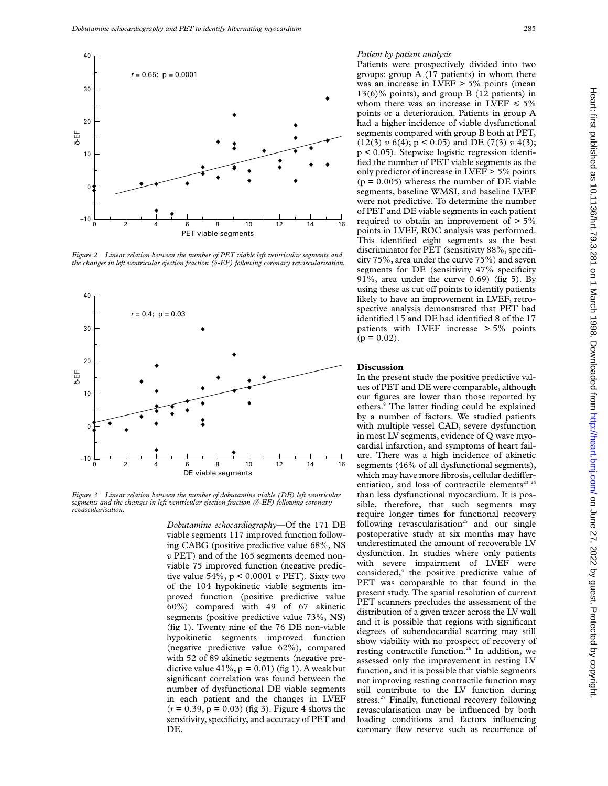

*Figure 2 Linear relation between the number of PET viable left ventricular segments and the changes in left ventricular ejection fraction (ä-EF) following coronary revascularisation.*



*Figure 3 Linear relation between the number of dobutamine viable (DE) left ventricular segments and the changes in left ventricular ejection fraction (ä-EF) following coronary revascularisation.*

*Dobutamine echocardiography*—Of the 171 DE viable segments 117 improved function following CABG (positive predictive value 68%, NS *v* PET) and of the 165 segments deemed nonviable 75 improved function (negative predictive value 54%, p < 0.0001 *v* PET). Sixty two of the 104 hypokinetic viable segments improved function (positive predictive value 60%) compared with 49 of 67 akinetic segments (positive predictive value 73%, NS) (fig 1). Twenty nine of the 76 DE non-viable hypokinetic segments improved function (negative predictive value 62%), compared with 52 of 89 akinetic segments (negative predictive value  $41\%$ ,  $p = 0.01$ ) (fig 1). A weak but significant correlation was found between the number of dysfunctional DE viable segments in each patient and the changes in LVEF  $(r = 0.39, p = 0.03)$  (fig 3). Figure 4 shows the sensitivity, specificity, and accuracy of PET and DE.

# *Patient by patient analysis*

Patients were prospectively divided into two groups: group A (17 patients) in whom there was an increase in LVEF > 5% points (mean 13(6)% points), and group B (12 patients) in whom there was an increase in LVEF  $\leq 5\%$ points or a deterioration. Patients in group A had a higher incidence of viable dysfunctional segments compared with group B both at PET, (12(3) *v* 6(4); p < 0.05) and DE (7(3) *v* 4(3); p < 0.05). Stepwise logistic regression identified the number of PET viable segments as the only predictor of increase in LVEF > 5% points  $(p = 0.005)$  whereas the number of DE viable segments, baseline WMSI, and baseline LVEF were not predictive. To determine the number of PET and DE viable segments in each patient required to obtain an improvement of  $> 5\%$ points in LVEF, ROC analysis was performed. This identified eight segments as the best discriminator for PET (sensitivity 88%, specificity 75%, area under the curve 75%) and seven segments for DE (sensitivity 47% specificity 91%, area under the curve 0.69) (fig 5). By using these as cut off points to identify patients likely to have an improvement in LVEF, retrospective analysis demonstrated that PET had identified 15 and DE had identified 8 of the 17 patients with LVEF increase > 5% points  $(p = 0.02)$ .

# **Discussion**

In the present study the positive predictive values of PET and DE were comparable, although our figures are lower than those reported by others.9 The latter finding could be explained by a number of factors. We studied patients with multiple vessel CAD, severe dysfunction in most LV segments, evidence of Q wave myocardial infarction, and symptoms of heart failure. There was a high incidence of akinetic segments (46% of all dysfunctional segments), which may have more fibrosis, cellular dedifferentiation, and loss of contractile elements<sup>23</sup>  $24$ than less dysfunctional myocardium. It is possible, therefore, that such segments may require longer times for functional recovery following revascularisation<sup>25</sup> and our single postoperative study at six months may have underestimated the amount of recoverable LV dysfunction. In studies where only patients with severe impairment of LVEF were considered,<sup>4</sup> the positive predictive value of PET was comparable to that found in the present study. The spatial resolution of current PET scanners precludes the assessment of the distribution of a given tracer across the LV wall and it is possible that regions with significant degrees of subendocardial scarring may still show viability with no prospect of recovery of resting contractile function.<sup>26</sup> In addition, we assessed only the improvement in resting LV function, and it is possible that viable segments not improving resting contractile function may still contribute to the LV function during stress.<sup>27</sup> Finally, functional recovery following revascularisation may be influenced by both loading conditions and factors influencing coronary flow reserve such as recurrence of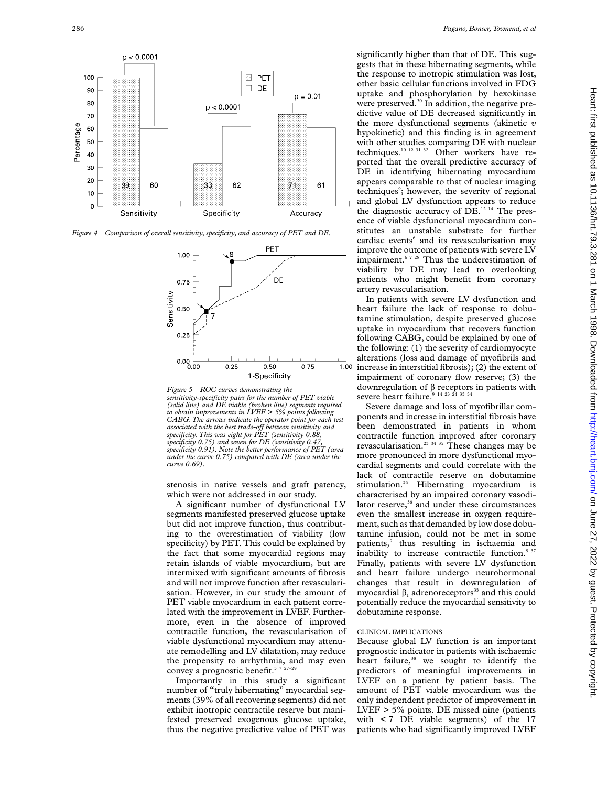

*Figure 4 Comparison of overall sensitivity, specificity, and accuracy of PET and DE.*



*Figure 5 ROC curves demonstrating the sensitivity-specificity pairs for the number of PET viable (solid line) and DE viable (broken line) segments required to obtain improvements in LVEF > 5% points following CABG. The arrows indicate the operator point for each test associated with the best trade-oV between sensitivity and specificity. This was eight for PET (sensitivity 0.88, specificity 0.75) and seven for DE (sensitivity 0.47, specificity 0.91). Note the better performance of PET (area under the curve 0.75) compared with DE (area under the curve 0.69).*

stenosis in native vessels and graft patency, which were not addressed in our study.

A significant number of dysfunctional LV segments manifested preserved glucose uptake but did not improve function, thus contributing to the overestimation of viability (low specificity) by PET. This could be explained by the fact that some myocardial regions may retain islands of viable myocardium, but are intermixed with significant amounts of fibrosis and will not improve function after revascularisation. However, in our study the amount of PET viable myocardium in each patient correlated with the improvement in LVEF. Furthermore, even in the absence of improved contractile function, the revascularisation of viable dysfunctional myocardium may attenuate remodelling and LV dilatation, may reduce the propensity to arrhythmia, and may even convey a prognostic benefit.<sup>57</sup>

Importantly in this study a significant number of "truly hibernating" myocardial segments (39% of all recovering segments) did not exhibit inotropic contractile reserve but manifested preserved exogenous glucose uptake, thus the negative predictive value of PET was

significantly higher than that of DE. This suggests that in these hibernating segments, while the response to inotropic stimulation was lost, other basic cellular functions involved in FDG uptake and phosphorylation by hexokinase were preserved.<sup>30</sup> In addition, the negative predictive value of DE decreased significantly in the more dysfunctional segments (akinetic *v* hypokinetic) and this finding is in agreement with other studies comparing DE with nuclear techniques.10 12 31 32 Other workers have reported that the overall predictive accuracy of DE in identifying hibernating myocardium appears comparable to that of nuclear imaging techniques<sup>9</sup>; however, the severity of regional and global LV dysfunction appears to reduce the diagnostic accuracy of  $DE$ <sup>12-14</sup> The presence of viable dysfunctional myocardium constitutes an unstable substrate for further cardiac events<sup>6</sup> and its revascularisation may improve the outcome of patients with severe LV impairment.<sup>6 7 28</sup> Thus the underestimation of viability by DE may lead to overlooking patients who might benefit from coronary artery revascularisation.

In patients with severe LV dysfunction and heart failure the lack of response to dobutamine stimulation, despite preserved glucose uptake in myocardium that recovers function following CABG, could be explained by one of the following: (1) the severity of cardiomyocyte alterations (loss and damage of myofibrils and increase in interstitial fibrosis); (2) the extent of impairment of coronary flow reserve; (3) the downregulation of  $\beta$  receptors in patients with severe heart failure.<sup>9</sup> <sup>14 23</sup> <sup>24</sup> <sup>33</sup> <sup>34</sup>

Severe damage and loss of myofibrillar components and increase in interstitial fibrosis have been demonstrated in patients in whom contractile function improved after coronary revascularisation.23 34 35 These changes may be more pronounced in more dysfunctional myocardial segments and could correlate with the lack of contractile reserve on dobutamine stimulation.<sup>34</sup> Hibernating myocardium is characterised by an impaired coronary vasodilator reserve, $36$  and under these circumstances even the smallest increase in oxygen requirement, such as that demanded by low dose dobutamine infusion, could not be met in some patients,<sup>9</sup> thus resulting in ischaemia and inability to increase contractile function.<sup>9 37</sup> Finally, patients with severe LV dysfunction and heart failure undergo neurohormonal changes that result in downregulation of myocardial  $\beta_1$  adrenoreceptors<sup>33</sup> and this could potentially reduce the myocardial sensitivity to dobutamine response.

# CLINICAL IMPLICATIONS

Because global LV function is an important prognostic indicator in patients with ischaemic heart failure,<sup>38</sup> we sought to identify the predictors of meaningful improvements in LVEF on a patient by patient basis. The amount of PET viable myocardium was the only independent predictor of improvement in LVEF > 5% points. DE missed nine (patients with < 7 DE viable segments) of the 17 patients who had significantly improved LVEF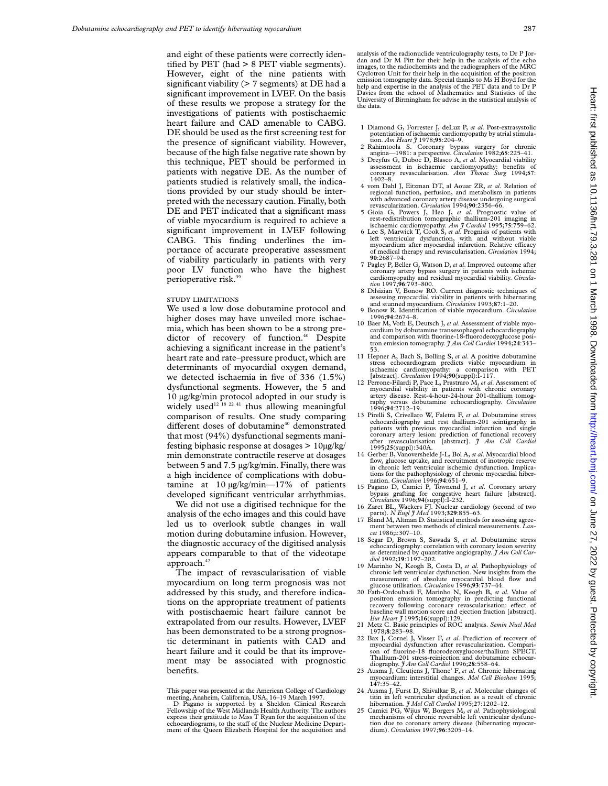and eight of these patients were correctly identified by PET (had > 8 PET viable segments). However, eight of the nine patients with significant viability  $($  > 7 segments) at DE had a significant improvement in LVEF. On the basis of these results we propose a strategy for the investigations of patients with postischaemic heart failure and CAD amenable to CABG. DE should be used as the first screening test for the presence of significant viability. However, because of the high false negative rate shown by this technique, PET should be performed in patients with negative DE. As the number of patients studied is relatively small, the indications provided by our study should be interpreted with the necessary caution. Finally, both DE and PET indicated that a significant mass of viable myocardium is required to achieve a significant improvement in LVEF following CABG. This finding underlines the importance of accurate preoperative assessment of viability particularly in patients with very poor LV function who have the highest perioperative risk.39

#### STUDY LIMITATIONS

We used a low dose dobutamine protocol and higher doses may have unveiled more ischaemia, which has been shown to be a strong predictor of recovery of function.<sup>40</sup> Despite achieving a significant increase in the patient's heart rate and rate–pressure product, which are determinants of myocardial oxygen demand, we detected ischaemia in five of 336 (1.5%) dysfunctional segments. However, the 5 and 10 µg/kg/min protocol adopted in our study is widely used<sup>12 18</sup> <sup>22 41</sup> thus allowing meaningful</sup> comparison of results. One study comparing different doses of dobutamine<sup>40</sup> demonstrated that most (94%) dysfunctional segments manifesting biphasic response at dosages > 10µg/kg/ min demonstrate contractile reserve at dosages between 5 and 7.5 µg/kg/min. Finally, there was a high incidence of complications with dobutamine at  $10 \mu g/kg/min - 17\%$  of patients developed significant ventricular arrhythmias.

We did not use a digitised technique for the analysis of the echo images and this could have led us to overlook subtle changes in wall motion during dobutamine infusion. However, the diagnostic accuracy of the digitised analysis appears comparable to that of the videotape approach.<sup>42</sup>

The impact of revascularisation of viable myocardium on long term prognosis was not addressed by this study, and therefore indications on the appropriate treatment of patients with postischaemic heart failure cannot be extrapolated from our results. However, LVEF has been demonstrated to be a strong prognostic determinant in patients with CAD and heart failure and it could be that its improvement may be associated with prognostic benefits.

- 1 Diamond G, Forrester J, deLuz P, *et al*. Post-extrasystolic potentiation of ischaemic cardiomyopathy by atrial stimula-tion. *Am Heart J* 1978;**95**:204–9.
- 2 Rahimtoola S. Coronary bypass surgery for chronic
- angina—1981: a perspective. *Circulation* 1982;**65**:225–41. 3 Dreyfus G, Duboc D, Blasco A, *et al*. Myocardial viability assessment in ischaemic cardiomyopathy: benefits of coronary revascularisation. *Ann Thorac Surg* 1994;**57**: 1402–8.
- 4 vom Dahl J, Eitzman DT, al Aouar ZR, *et al*. Relation of regional function, perfusion, and metabolism in patients with advanced coronary artery disease undergoing surgical revascularization. *Circulation* 1994;**90**:2356–66.
- 5 Gioia G, Powers J, Heo J, *et al*. Prognostic value of rest-redistribution tomographic thallium-201 imaging in ischaemic cardiomyopathy. *Am J Cardiol* 1995;**75**:759–62.
- 6 Lee S, Marwick T, Cook S, *et al*. Prognisis of patients with left ventricular dysfunction, with and without viable myocardium after myocardial infarction. Relative efficacy of medical therapy and revascularisation. *Circulation* 1994; **90**:2687–94.
- 7 Pagley P, Beller G, Watson D, *et al*. Improved outcome after coronary artery bypass surgery in patients with ischemic cardiomyopathy and residual myocardial viability. *Circulation* 1997;**96**:793–800.
- 8 Dilsizian V, Bonow RO. Current diagnostic techniques of assessing myocardial viability in patients with hibernating and stunned myocardium. *Circulation* 1993;**87**:1–20.
- 9 Bonow R. Identification of viable myocardium. *Circulation* 1996;**94**:2674–8.
- 10 Baer M, Voth E, Deutsch J, *et al*. Assessment of viable myocardium by dobutamine transesophageal echocardiography and comparison with fluorine-18-fluorodeoxyglucose positron emission tomography. *J Am Coll Cardiol* 1994;**24**:343– 53.
- 11 Hepner A, Bach S, Bolling S, *et al*. A positive dobutamine stress echocardiogram predicts viable myocardium in ischaemic cardiomyopathy: a comparison with PET [abstract]. *Circulation* 1994;**90**(suppl):I-117.
- 12 Perrone-Filardi P, Pace L, Prastraro M, *et al*. Assessment of myocardial viability in patients with chronic coronary artery disease. Rest-4-hour-24-hour 201-thallium tomography versus dobutamine echocardiography. *Circulation* 1996;**94**:2712–19.
- 13 Pirelli S, Crivellaro W, Faletra F, *et al*. Dobutamine stress echocardiography and rest thallium-201 scintigraphy in patients with previous myocardial infarction and single coronary artery lesion: prediction of functional recovery after revascularisation [abstract]. *J Am Coll Cardiol*
- 1995;**25**(suppl):340A. 14 Gerber B, Vanovershelde J-L, Bol A, *et al*. Myocardial blood flow, glucose uptake, and recruitment of inotropic reserve in chronic left ventricular ischemic dysfunction. Implications for the pathophysiology of chronic myocardial hibernation. *Circulation* 1996;**94**:651–9.
- 15 Pagano D, Camici P, Townend J, *et al*. Coronary artery bypass grafting for congestive heart failure [abstract]. *Circulation* 1996;**94**(suppl):I-232.
- 16 Zaret BL, Wackers FJ. Nuclear cardiology (second of two
- parts). *N Engl J Med* 1993;329:855–63.<br>17 Bland M, Altman D. Statistical methods for assessing agreement between two methods of clinical measurements. *Lancet* 1986;i:307–10.
- 18 Segar D, Brown S, Sawada S, *et al*. Dobutamine stress echocardiography: correlation with coronary lesion severity as determined by quantitative angiography. *J Am Coll Car-diol* 1992;**19**:1197–202.
- 19 Marinho N, Keogh B, Costa D, *et al*. Pathophysiology of chronic left ventricular dysfunction. New insights from the measurement of absolute myocardial blood flow and glucose utilisation. *Circulation* 1996;**93**:737–44.
- 20 Fath-Ordoubadi F, Marinho N, Keogh B, *et al*. Value of positron emission tomography in predicting functional recovery following coronary revascularisation: effect of baseline wall motion score and ejection fraction [abstract]. *Eur Heart J* 1995;**16**(suppl):129.
- 21 Metz C. Basic principles of ROC analysis. *Semin Nucl Med* 1978;**8**:283–98.
- 22 Bax J, Cornel J, Visser F, *et al*. Prediction of recovery of myocardial dysfunction after revascularization. Comparison of fluorine-18 fluorodeoxyglucose/thallium SPECT. Thallium-201 stress-reinjection and dobutamine echocardiography. *J Am Coll Cardiol* 1996;**28**:558–64.
- 23 Ausma J, Cleutjens J, Thone' F, *et al*. Chronic hibernating myocardium: interstitial changes. *Mol Cell Biochem* 1995; **147**:35–42.
- 24 Ausma J, Furst D, Shivalkar B, *et al*. Molecular changes of titin in left ventricular dysfunction as a result of chronic<br>hibernation. *J Mol Cell Cardiol* 1995;27:1202–12.<br>25 Camici PG, Wijus W, Borgers M, *et al*. Pathophysiological
- mechanisms of chronic reversible left ventricular dysfunction due to coronary artery disease (hibernating myocardium). *Circulation* 1997;**96**:3205–14.

This paper was presented at the American College of Cardiology meeting, Anaheim, California, USA, 16–19 March 1997.

D Pagano is supported by a Sheldon Clinical Research Fellowship of the West Midlands Health Authority. The authors express their gratitude to Miss T Ryan for the acquisition of the echocardiograms, to the staff of the Nuclear Medicine Department of the Queen Elizabeth Hospital for the acquisition and